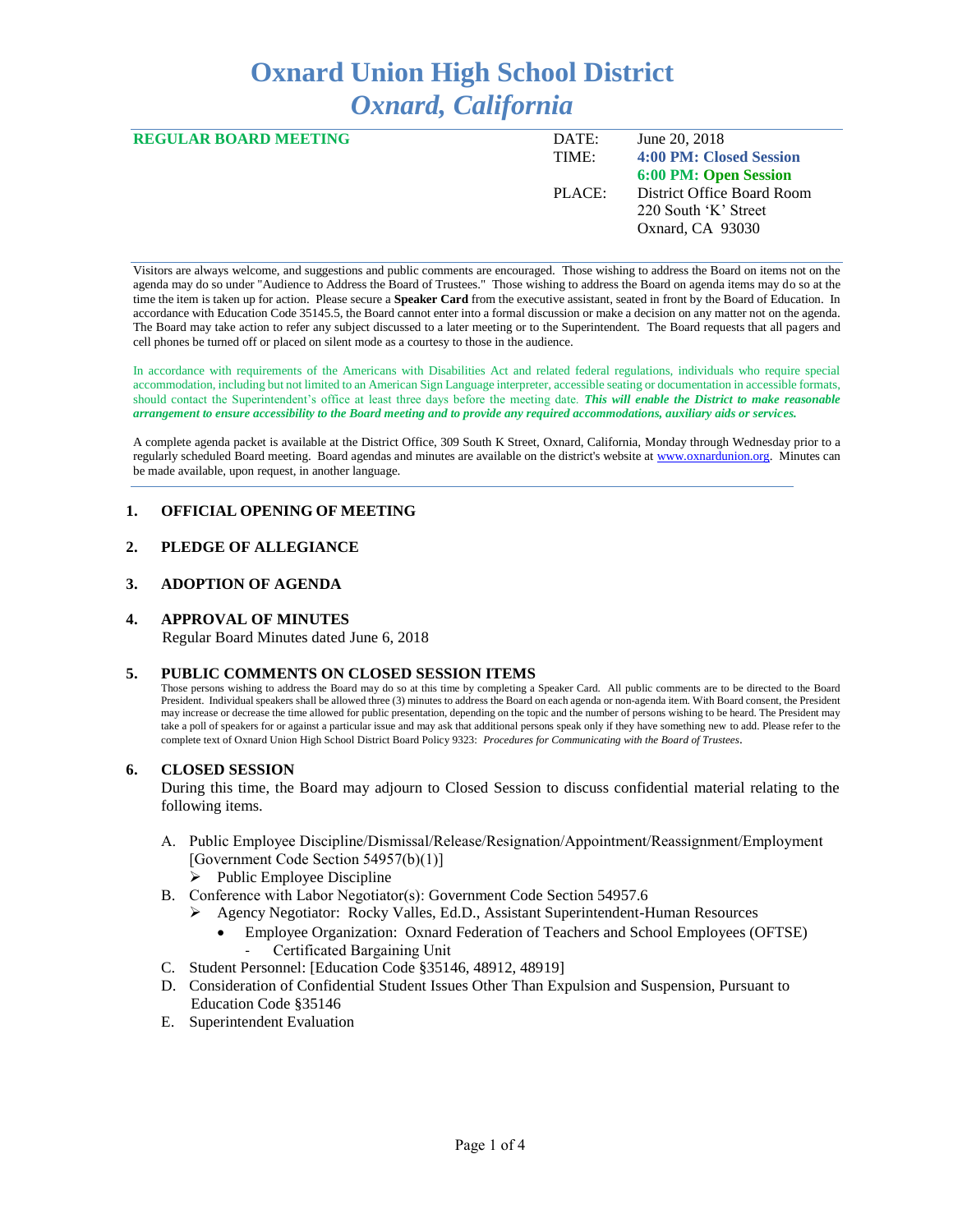# **Oxnard Union High School District** *Oxnard, California*

| <b>REGULAR BOARD MEETING</b> | DATE:  | June 20, 2018              |
|------------------------------|--------|----------------------------|
|                              | TIME:  | 4:00 PM: Closed Session    |
|                              |        | 6:00 PM: Open Session      |
|                              | PLACE: | District Office Board Room |
|                              |        | 220 South 'K' Street       |
|                              |        | Oxnard, CA 93030           |
|                              |        |                            |

Visitors are always welcome, and suggestions and public comments are encouraged. Those wishing to address the Board on items not on the agenda may do so under "Audience to Address the Board of Trustees." Those wishing to address the Board on agenda items may do so at the time the item is taken up for action. Please secure a **Speaker Card** from the executive assistant, seated in front by the Board of Education. In accordance with Education Code 35145.5, the Board cannot enter into a formal discussion or make a decision on any matter not on the agenda. The Board may take action to refer any subject discussed to a later meeting or to the Superintendent. The Board requests that all pagers and cell phones be turned off or placed on silent mode as a courtesy to those in the audience.

In accordance with requirements of the Americans with Disabilities Act and related federal regulations, individuals who require special accommodation, including but not limited to an American Sign Language interpreter, accessible seating or documentation in accessible formats, should contact the Superintendent's office at least three days before the meeting date. *This will enable the District to make reasonable arrangement to ensure accessibility to the Board meeting and to provide any required accommodations, auxiliary aids or services.* 

A complete agenda packet is available at the District Office, 309 South K Street, Oxnard, California, Monday through Wednesday prior to a regularly scheduled Board meeting. Board agendas and minutes are available on the district's website a[t www.ox](http://www.o/)nardunion.org.Minutes can be made available, upon request, in another language.

# **1. OFFICIAL OPENING OF MEETING**

# **2. PLEDGE OF ALLEGIANCE**

## **3. ADOPTION OF AGENDA**

## **4. APPROVAL OF MINUTES**

Regular Board Minutes dated June 6, 2018

#### **5. PUBLIC COMMENTS ON CLOSED SESSION ITEMS**

Those persons wishing to address the Board may do so at this time by completing a Speaker Card. All public comments are to be directed to the Board President. Individual speakers shall be allowed three (3) minutes to address the Board on each agenda or non-agenda item. With Board consent, the President may increase or decrease the time allowed for public presentation, depending on the topic and the number of persons wishing to be heard. The President may take a poll of speakers for or against a particular issue and may ask that additional persons speak only if they have something new to add. Please refer to the complete text of Oxnard Union High School District Board Policy 9323: *Procedures for Communicating with the Board of Trustees*.

#### **6. CLOSED SESSION**

During this time, the Board may adjourn to Closed Session to discuss confidential material relating to the following items.

- A. Public Employee Discipline/Dismissal/Release/Resignation/Appointment/Reassignment/Employment [Government Code Section 54957(b)(1)]
	- ➢ Public Employee Discipline
- B. Conference with Labor Negotiator(s): Government Code Section 54957.6
	- ➢ Agency Negotiator: Rocky Valles, Ed.D., Assistant Superintendent-Human Resources
		- Employee Organization: Oxnard Federation of Teachers and School Employees (OFTSE) Certificated Bargaining Unit
- C. Student Personnel: [Education Code §35146, 48912, 48919]
- D. Consideration of Confidential Student Issues Other Than Expulsion and Suspension, Pursuant to Education Code §35146
- E. Superintendent Evaluation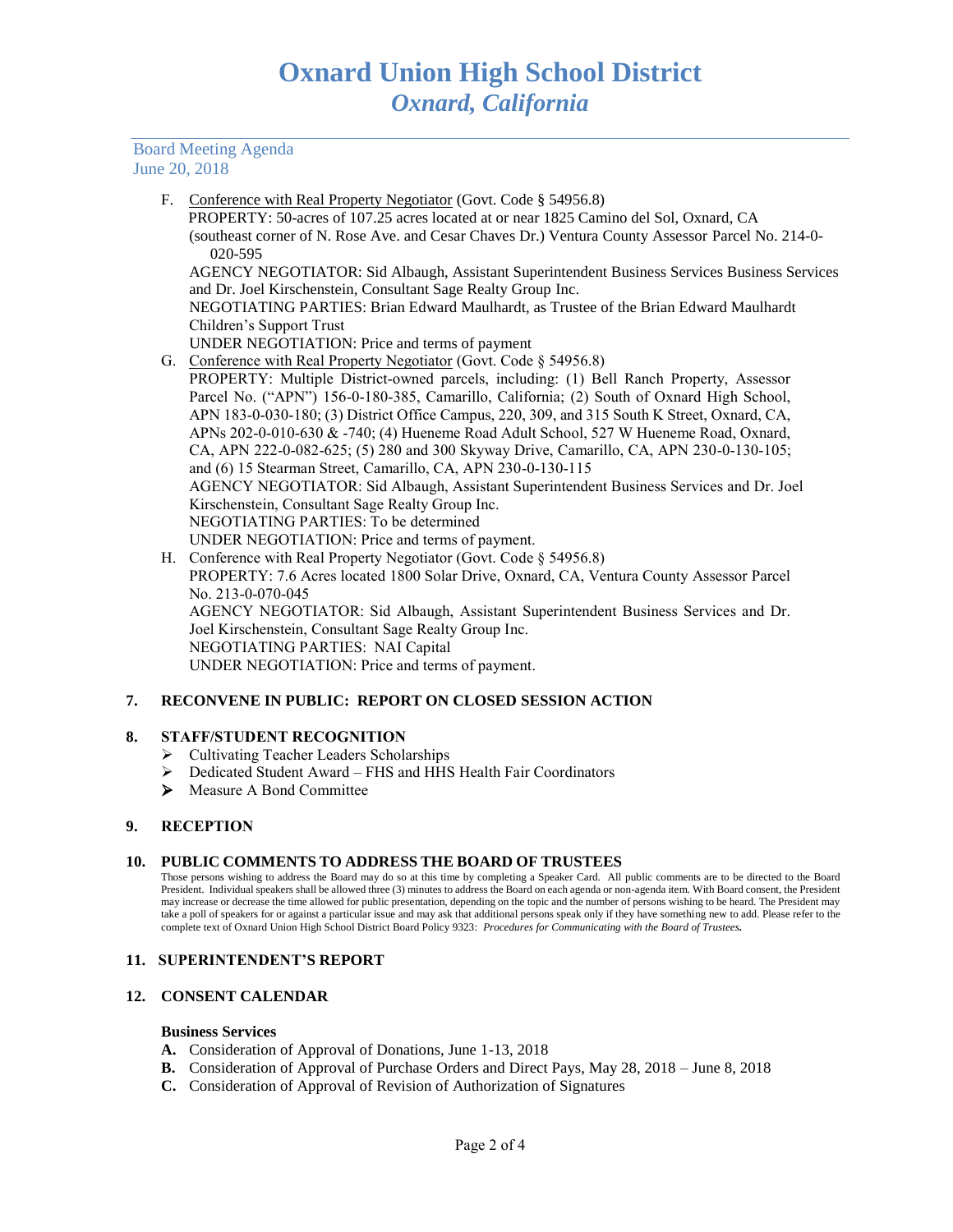## Board Meeting Agenda June 20, 2018

F. Conference with Real Property Negotiator (Govt. Code § 54956.8)

 PROPERTY: 50-acres of 107.25 acres located at or near 1825 Camino del Sol, Oxnard, CA (southeast corner of N. Rose Ave. and Cesar Chaves Dr.) Ventura County Assessor Parcel No. 214-0- 020-595

AGENCY NEGOTIATOR: Sid Albaugh, Assistant Superintendent Business Services Business Services and Dr. Joel Kirschenstein, Consultant Sage Realty Group Inc.

NEGOTIATING PARTIES: Brian Edward Maulhardt, as Trustee of the Brian Edward Maulhardt Children's Support Trust

- UNDER NEGOTIATION: Price and terms of payment
- G. Conference with Real Property Negotiator (Govt. Code § 54956.8)

PROPERTY: Multiple District-owned parcels, including: (1) Bell Ranch Property, Assessor Parcel No. ("APN") 156-0-180-385, Camarillo, California; (2) South of Oxnard High School, APN 183-0-030-180; (3) District Office Campus, 220, 309, and 315 South K Street, Oxnard, CA, APNs 202-0-010-630 & -740; (4) Hueneme Road Adult School, 527 W Hueneme Road, Oxnard, CA, APN 222-0-082-625; (5) 280 and 300 Skyway Drive, Camarillo, CA, APN 230-0-130-105; and (6) 15 Stearman Street, Camarillo, CA, APN 230-0-130-115 AGENCY NEGOTIATOR: Sid Albaugh, Assistant Superintendent Business Services and Dr. Joel Kirschenstein, Consultant Sage Realty Group Inc. NEGOTIATING PARTIES: To be determined UNDER NEGOTIATION: Price and terms of payment.

H. Conference with Real Property Negotiator (Govt. Code § 54956.8) PROPERTY: 7.6 Acres located 1800 Solar Drive, Oxnard, CA, Ventura County Assessor Parcel No. 213-0-070-045 AGENCY NEGOTIATOR: Sid Albaugh, Assistant Superintendent Business Services and Dr. Joel Kirschenstein, Consultant Sage Realty Group Inc. NEGOTIATING PARTIES: NAI Capital UNDER NEGOTIATION: Price and terms of payment.

# **7. RECONVENE IN PUBLIC: REPORT ON CLOSED SESSION ACTION**

# **8. STAFF/STUDENT RECOGNITION**

- ➢ Cultivating Teacher Leaders Scholarships
- ➢ Dedicated Student Award FHS and HHS Health Fair Coordinators
- ➢ Measure A Bond Committee

#### **9. RECEPTION**

#### **10. PUBLIC COMMENTS TO ADDRESS THE BOARD OF TRUSTEES**

Those persons wishing to address the Board may do so at this time by completing a Speaker Card. All public comments are to be directed to the Board President. Individual speakers shall be allowed three (3) minutes to address the Board on each agenda or non-agenda item. With Board consent, the President may increase or decrease the time allowed for public presentation, depending on the topic and the number of persons wishing to be heard. The President may take a poll of speakers for or against a particular issue and may ask that additional persons speak only if they have something new to add. Please refer to the complete text of Oxnard Union High School District Board Policy 9323: *Procedures for Communicating with the Board of Trustees.*

#### **11. SUPERINTENDENT'S REPORT**

#### **12. CONSENT CALENDAR**

#### **Business Services**

- **A.** Consideration of Approval of Donations, June 1-13, 2018
- **B.** Consideration of Approval of Purchase Orders and Direct Pays, May 28, 2018 June 8, 2018
- **C.** Consideration of Approval of Revision of Authorization of Signatures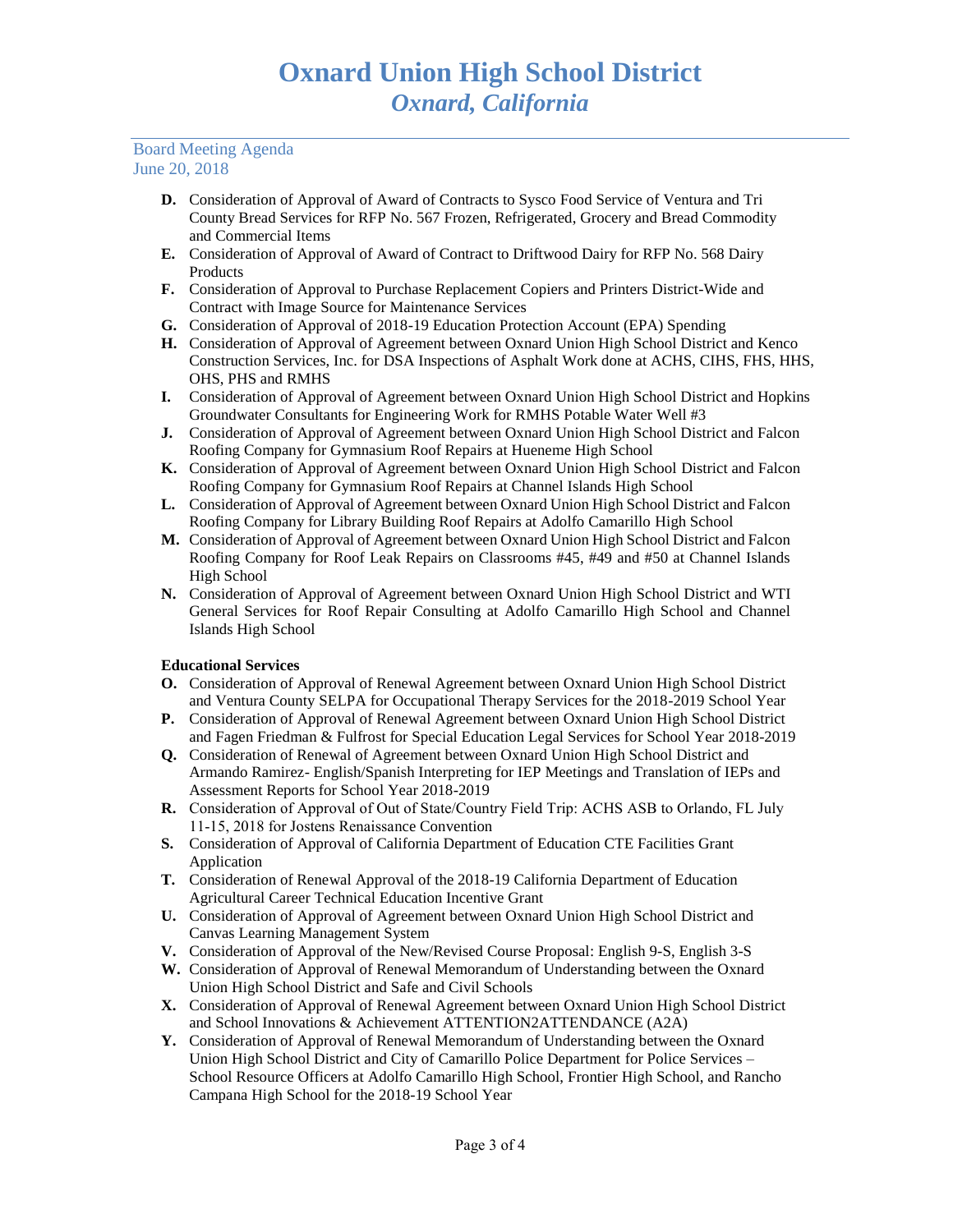# Board Meeting Agenda June 20, 2018

- **D.** Consideration of Approval of Award of Contracts to Sysco Food Service of Ventura and Tri County Bread Services for RFP No. 567 Frozen, Refrigerated, Grocery and Bread Commodity and Commercial Items
- **E.** Consideration of Approval of Award of Contract to Driftwood Dairy for RFP No. 568 Dairy Products
- **F.** Consideration of Approval to Purchase Replacement Copiers and Printers District-Wide and Contract with Image Source for Maintenance Services
- **G.** Consideration of Approval of 2018-19 Education Protection Account (EPA) Spending
- **H.** Consideration of Approval of Agreement between Oxnard Union High School District and Kenco Construction Services, Inc. for DSA Inspections of Asphalt Work done at ACHS, CIHS, FHS, HHS, OHS, PHS and RMHS
- **I.** Consideration of Approval of Agreement between Oxnard Union High School District and Hopkins Groundwater Consultants for Engineering Work for RMHS Potable Water Well #3
- **J.** Consideration of Approval of Agreement between Oxnard Union High School District and Falcon Roofing Company for Gymnasium Roof Repairs at Hueneme High School
- **K.** Consideration of Approval of Agreement between Oxnard Union High School District and Falcon Roofing Company for Gymnasium Roof Repairs at Channel Islands High School
- **L.** Consideration of Approval of Agreement between Oxnard Union High School District and Falcon Roofing Company for Library Building Roof Repairs at Adolfo Camarillo High School
- **M.** Consideration of Approval of Agreement between Oxnard Union High School District and Falcon Roofing Company for Roof Leak Repairs on Classrooms #45, #49 and #50 at Channel Islands High School
- **N.** Consideration of Approval of Agreement between Oxnard Union High School District and WTI General Services for Roof Repair Consulting at Adolfo Camarillo High School and Channel Islands High School

# **Educational Services**

- **O.** Consideration of Approval of Renewal Agreement between Oxnard Union High School District and Ventura County SELPA for Occupational Therapy Services for the 2018-2019 School Year
- **P.** Consideration of Approval of Renewal Agreement between Oxnard Union High School District and Fagen Friedman & Fulfrost for Special Education Legal Services for School Year 2018-2019
- **Q.** Consideration of Renewal of Agreement between Oxnard Union High School District and Armando Ramirez- English/Spanish Interpreting for IEP Meetings and Translation of IEPs and Assessment Reports for School Year 2018-2019
- **R.** Consideration of Approval of Out of State/Country Field Trip: ACHS ASB to Orlando, FL July 11-15, 2018 for Jostens Renaissance Convention
- **S.** Consideration of Approval of California Department of Education CTE Facilities Grant Application
- **T.** Consideration of Renewal Approval of the 2018-19 California Department of Education Agricultural Career Technical Education Incentive Grant
- **U.** Consideration of Approval of Agreement between Oxnard Union High School District and Canvas Learning Management System
- **V.** Consideration of Approval of the New/Revised Course Proposal: English 9-S, English 3-S
- **W.** Consideration of Approval of Renewal Memorandum of Understanding between the Oxnard Union High School District and Safe and Civil Schools
- **X.** Consideration of Approval of Renewal Agreement between Oxnard Union High School District and School Innovations & Achievement ATTENTION2ATTENDANCE (A2A)
- **Y.** Consideration of Approval of Renewal Memorandum of Understanding between the Oxnard Union High School District and City of Camarillo Police Department for Police Services – School Resource Officers at Adolfo Camarillo High School, Frontier High School, and Rancho Campana High School for the 2018-19 School Year